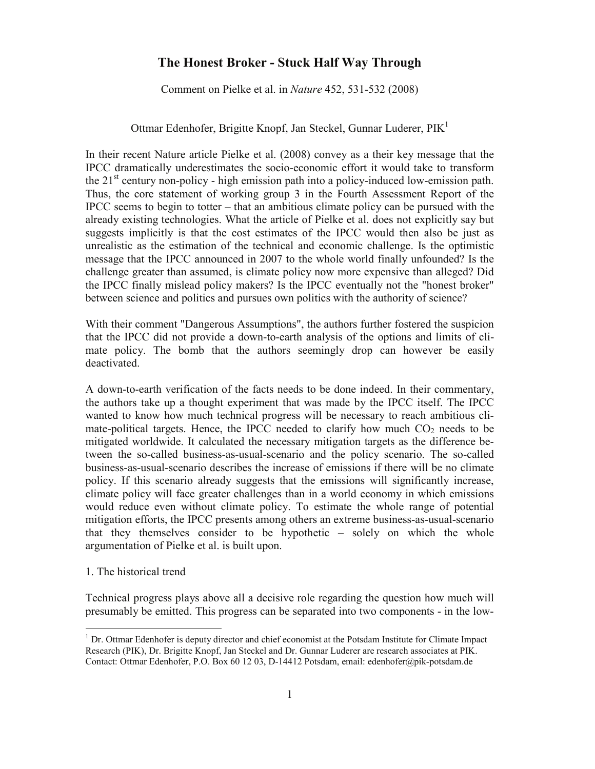# **The Honest Broker - Stuck Half Way Through**

Comment on Pielke et al. in *Nature* 452, 531-532 (2008)

## Ottmar Edenhofer, Brigitte Knopf, Jan Steckel, Gunnar Luderer,  $PIK<sup>1</sup>$

In their recent Nature article Pielke et al. (2008) convey as a their key message that the IPCC dramatically underestimates the socio-economic effort it would take to transform the  $21<sup>st</sup>$  century non-policy - high emission path into a policy-induced low-emission path. Thus, the core statement of working group 3 in the Fourth Assessment Report of the IPCC seems to begin to totter – that an ambitious climate policy can be pursued with the already existing technologies. What the article of Pielke et al. does not explicitly say but suggests implicitly is that the cost estimates of the IPCC would then also be just as unrealistic as the estimation of the technical and economic challenge. Is the optimistic message that the IPCC announced in 2007 to the whole world finally unfounded? Is the challenge greater than assumed, is climate policy now more expensive than alleged? Did the IPCC finally mislead policy makers? Is the IPCC eventually not the "honest broker" between science and politics and pursues own politics with the authority of science?

With their comment "Dangerous Assumptions", the authors further fostered the suspicion that the IPCC did not provide a down-to-earth analysis of the options and limits of climate policy. The bomb that the authors seemingly drop can however be easily deactivated.

A down-to-earth verification of the facts needs to be done indeed. In their commentary, the authors take up a thought experiment that was made by the IPCC itself. The IPCC wanted to know how much technical progress will be necessary to reach ambitious climate-political targets. Hence, the IPCC needed to clarify how much  $CO<sub>2</sub>$  needs to be mitigated worldwide. It calculated the necessary mitigation targets as the difference between the so-called business-as-usual-scenario and the policy scenario. The so-called business-as-usual-scenario describes the increase of emissions if there will be no climate policy. If this scenario already suggests that the emissions will significantly increase, climate policy will face greater challenges than in a world economy in which emissions would reduce even without climate policy. To estimate the whole range of potential mitigation efforts, the IPCC presents among others an extreme business-as-usual-scenario that they themselves consider to be hypothetic – solely on which the whole argumentation of Pielke et al. is built upon.

### 1. The historical trend

Technical progress plays above all a decisive role regarding the question how much will presumably be emitted. This progress can be separated into two components - in the low-

 $1$  Dr. Ottmar Edenhofer is deputy director and chief economist at the Potsdam Institute for Climate Impact Research (PIK), Dr. Brigitte Knopf, Jan Steckel and Dr. Gunnar Luderer are research associates at PIK. Contact: Ottmar Edenhofer, P.O. Box 60 12 03, D-14412 Potsdam, email: edenhofer@pik-potsdam.de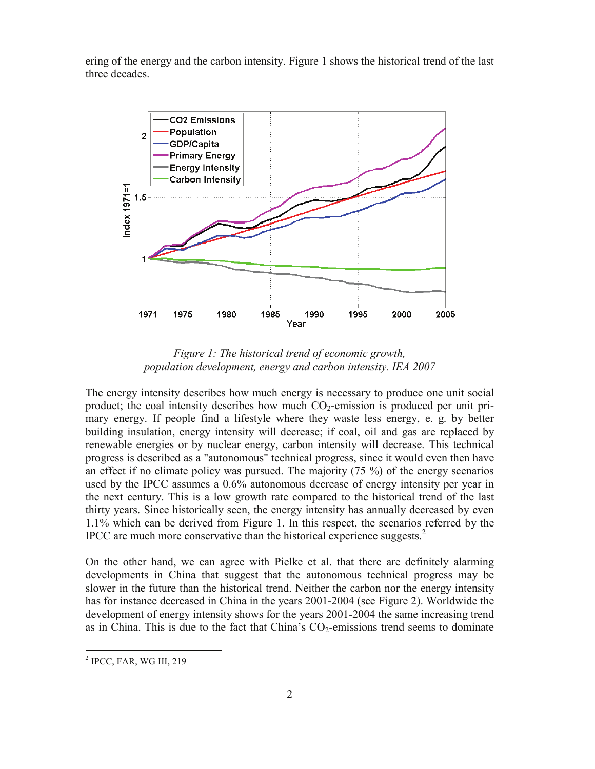ering of the energy and the carbon intensity. Figure 1 shows the historical trend of the last three decades.



*Figure 1: The historical trend of economic growth, population development, energy and carbon intensity. IEA 2007* 

The energy intensity describes how much energy is necessary to produce one unit social product; the coal intensity describes how much  $CO<sub>2</sub>$ -emission is produced per unit primary energy. If people find a lifestyle where they waste less energy, e. g. by better building insulation, energy intensity will decrease; if coal, oil and gas are replaced by renewable energies or by nuclear energy, carbon intensity will decrease. This technical progress is described as a "autonomous" technical progress, since it would even then have an effect if no climate policy was pursued. The majority (75 %) of the energy scenarios used by the IPCC assumes a 0.6% autonomous decrease of energy intensity per year in the next century. This is a low growth rate compared to the historical trend of the last thirty years. Since historically seen, the energy intensity has annually decreased by even 1.1% which can be derived from Figure 1. In this respect, the scenarios referred by the IPCC are much more conservative than the historical experience suggests. $<sup>2</sup>$ </sup>

On the other hand, we can agree with Pielke et al. that there are definitely alarming developments in China that suggest that the autonomous technical progress may be slower in the future than the historical trend. Neither the carbon nor the energy intensity has for instance decreased in China in the years 2001-2004 (see Figure 2). Worldwide the development of energy intensity shows for the years 2001-2004 the same increasing trend as in China. This is due to the fact that China's  $CO<sub>2</sub>$ -emissions trend seems to dominate

<sup>&</sup>lt;sup>2</sup> IPCC, FAR, WG III, 219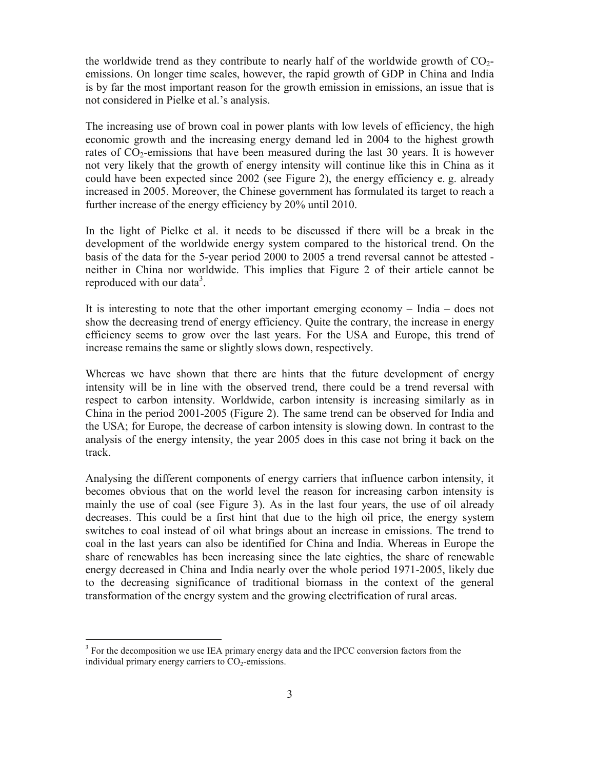the worldwide trend as they contribute to nearly half of the worldwide growth of  $CO<sub>2</sub>$ emissions. On longer time scales, however, the rapid growth of GDP in China and India is by far the most important reason for the growth emission in emissions, an issue that is not considered in Pielke et al.'s analysis.

The increasing use of brown coal in power plants with low levels of efficiency, the high economic growth and the increasing energy demand led in 2004 to the highest growth rates of  $CO<sub>2</sub>$ -emissions that have been measured during the last 30 years. It is however not very likely that the growth of energy intensity will continue like this in China as it could have been expected since 2002 (see Figure 2), the energy efficiency e. g. already increased in 2005. Moreover, the Chinese government has formulated its target to reach a further increase of the energy efficiency by 20% until 2010.

In the light of Pielke et al. it needs to be discussed if there will be a break in the development of the worldwide energy system compared to the historical trend. On the basis of the data for the 5-year period 2000 to 2005 a trend reversal cannot be attested neither in China nor worldwide. This implies that Figure 2 of their article cannot be reproduced with our data<sup>3</sup>.

It is interesting to note that the other important emerging economy – India – does not show the decreasing trend of energy efficiency. Quite the contrary, the increase in energy efficiency seems to grow over the last years. For the USA and Europe, this trend of increase remains the same or slightly slows down, respectively.

Whereas we have shown that there are hints that the future development of energy intensity will be in line with the observed trend, there could be a trend reversal with respect to carbon intensity. Worldwide, carbon intensity is increasing similarly as in China in the period 2001-2005 (Figure 2). The same trend can be observed for India and the USA; for Europe, the decrease of carbon intensity is slowing down. In contrast to the analysis of the energy intensity, the year 2005 does in this case not bring it back on the track.

Analysing the different components of energy carriers that influence carbon intensity, it becomes obvious that on the world level the reason for increasing carbon intensity is mainly the use of coal (see Figure 3). As in the last four years, the use of oil already decreases. This could be a first hint that due to the high oil price, the energy system switches to coal instead of oil what brings about an increase in emissions. The trend to coal in the last years can also be identified for China and India. Whereas in Europe the share of renewables has been increasing since the late eighties, the share of renewable energy decreased in China and India nearly over the whole period 1971-2005, likely due to the decreasing significance of traditional biomass in the context of the general transformation of the energy system and the growing electrification of rural areas.

<sup>&</sup>lt;sup>3</sup> For the decomposition we use IEA primary energy data and the IPCC conversion factors from the individual primary energy carriers to  $CO<sub>2</sub>$ -emissions.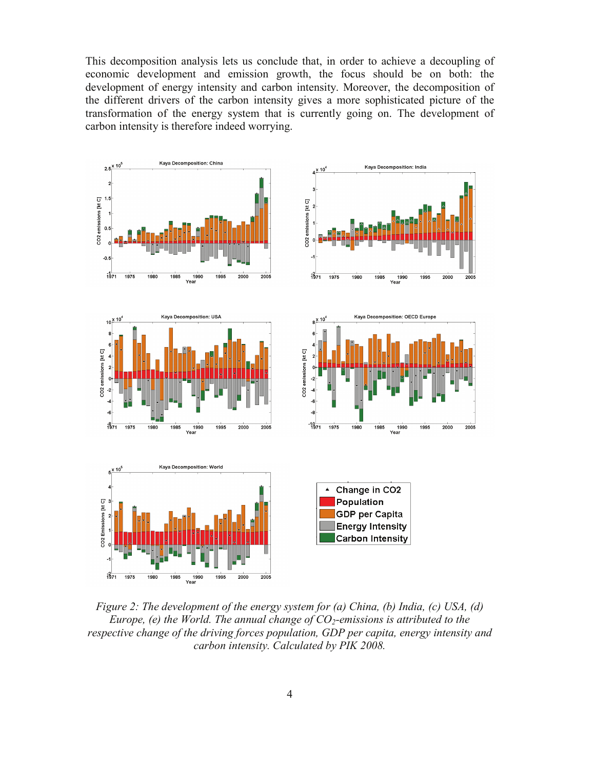This decomposition analysis lets us conclude that, in order to achieve a decoupling of economic development and emission growth, the focus should be on both: the development of energy intensity and carbon intensity. Moreover, the decomposition of the different drivers of the carbon intensity gives a more sophisticated picture of the transformation of the energy system that is currently going on. The development of carbon intensity is therefore indeed worrying.



*Figure 2: The development of the energy system for (a) China, (b) India, (c) USA, (d) Europe, (e) the World. The annual change of CO<sub>2</sub>-emissions is attributed to the respective change of the driving forces population, GDP per capita, energy intensity and carbon intensity. Calculated by PIK 2008.*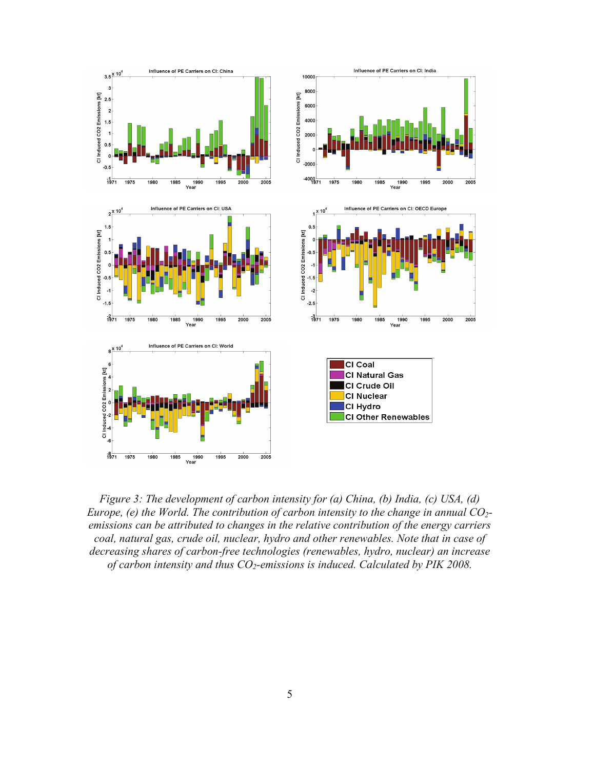

*Figure 3: The development of carbon intensity for (a) China, (b) India, (c) USA, (d) Europe, (e) the World. The contribution of carbon intensity to the change in annual CO2 emissions can be attributed to changes in the relative contribution of the energy carriers coal, natural gas, crude oil, nuclear, hydro and other renewables. Note that in case of decreasing shares of carbon-free technologies (renewables, hydro, nuclear) an increase*  of carbon intensity and thus CO<sub>2</sub>-emissions is induced. Calculated by PIK 2008.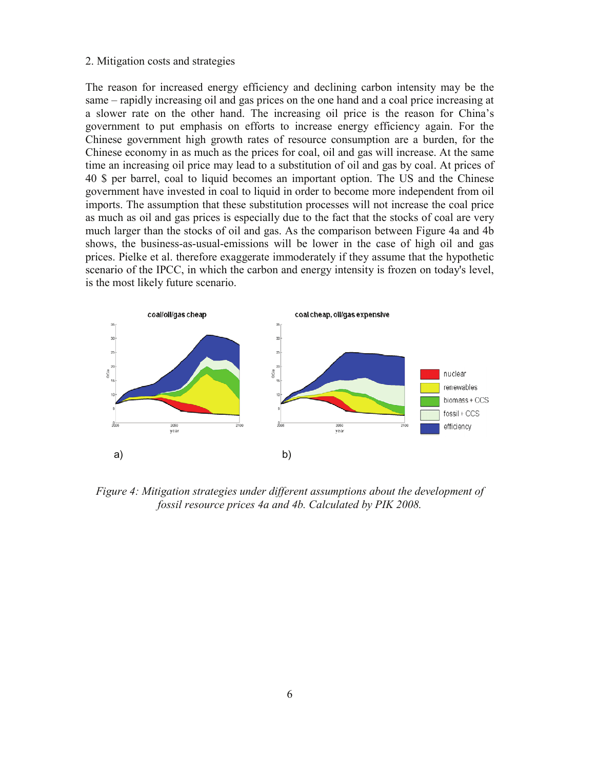#### 2. Mitigation costs and strategies

The reason for increased energy efficiency and declining carbon intensity may be the same – rapidly increasing oil and gas prices on the one hand and a coal price increasing at a slower rate on the other hand. The increasing oil price is the reason for China's government to put emphasis on efforts to increase energy efficiency again. For the Chinese government high growth rates of resource consumption are a burden, for the Chinese economy in as much as the prices for coal, oil and gas will increase. At the same time an increasing oil price may lead to a substitution of oil and gas by coal. At prices of 40 \$ per barrel, coal to liquid becomes an important option. The US and the Chinese government have invested in coal to liquid in order to become more independent from oil imports. The assumption that these substitution processes will not increase the coal price as much as oil and gas prices is especially due to the fact that the stocks of coal are very much larger than the stocks of oil and gas. As the comparison between Figure 4a and 4b shows, the business-as-usual-emissions will be lower in the case of high oil and gas prices. Pielke et al. therefore exaggerate immoderately if they assume that the hypothetic scenario of the IPCC, in which the carbon and energy intensity is frozen on today's level, is the most likely future scenario.



*Figure 4: Mitigation strategies under different assumptions about the development of fossil resource prices 4a and 4b. Calculated by PIK 2008.*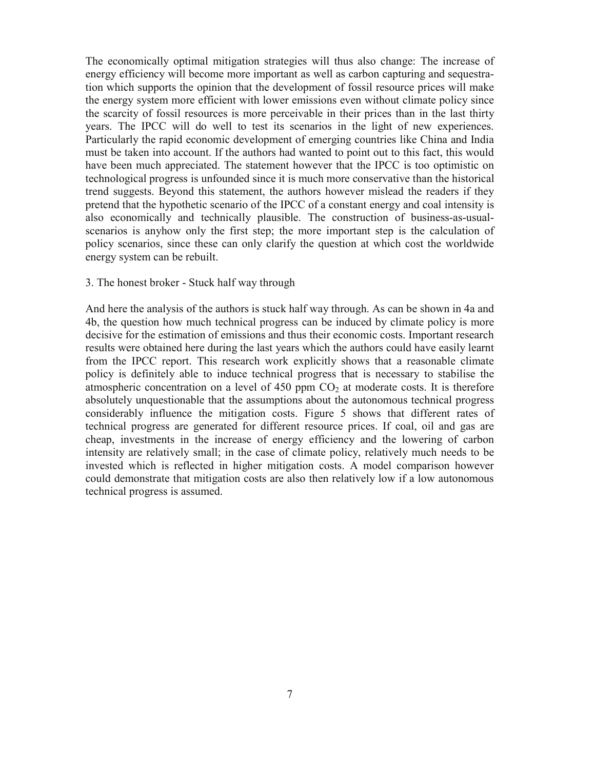The economically optimal mitigation strategies will thus also change: The increase of energy efficiency will become more important as well as carbon capturing and sequestration which supports the opinion that the development of fossil resource prices will make the energy system more efficient with lower emissions even without climate policy since the scarcity of fossil resources is more perceivable in their prices than in the last thirty years. The IPCC will do well to test its scenarios in the light of new experiences. Particularly the rapid economic development of emerging countries like China and India must be taken into account. If the authors had wanted to point out to this fact, this would have been much appreciated. The statement however that the IPCC is too optimistic on technological progress is unfounded since it is much more conservative than the historical trend suggests. Beyond this statement, the authors however mislead the readers if they pretend that the hypothetic scenario of the IPCC of a constant energy and coal intensity is also economically and technically plausible. The construction of business-as-usualscenarios is anyhow only the first step; the more important step is the calculation of policy scenarios, since these can only clarify the question at which cost the worldwide energy system can be rebuilt.

#### 3. The honest broker - Stuck half way through

And here the analysis of the authors is stuck half way through. As can be shown in 4a and 4b, the question how much technical progress can be induced by climate policy is more decisive for the estimation of emissions and thus their economic costs. Important research results were obtained here during the last years which the authors could have easily learnt from the IPCC report. This research work explicitly shows that a reasonable climate policy is definitely able to induce technical progress that is necessary to stabilise the atmospheric concentration on a level of 450 ppm  $CO<sub>2</sub>$  at moderate costs. It is therefore absolutely unquestionable that the assumptions about the autonomous technical progress considerably influence the mitigation costs. Figure 5 shows that different rates of technical progress are generated for different resource prices. If coal, oil and gas are cheap, investments in the increase of energy efficiency and the lowering of carbon intensity are relatively small; in the case of climate policy, relatively much needs to be invested which is reflected in higher mitigation costs. A model comparison however could demonstrate that mitigation costs are also then relatively low if a low autonomous technical progress is assumed.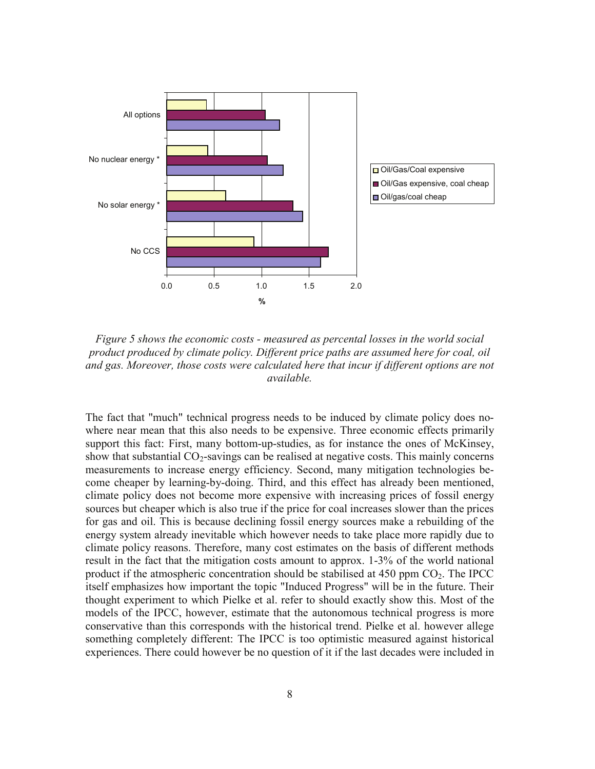

*Figure 5 shows the economic costs - measured as percental losses in the world social product produced by climate policy. Different price paths are assumed here for coal, oil and gas. Moreover, those costs were calculated here that incur if different options are not available.* 

The fact that "much" technical progress needs to be induced by climate policy does nowhere near mean that this also needs to be expensive. Three economic effects primarily support this fact: First, many bottom-up-studies, as for instance the ones of McKinsey, show that substantial  $CO<sub>2</sub>$ -savings can be realised at negative costs. This mainly concerns measurements to increase energy efficiency. Second, many mitigation technologies become cheaper by learning-by-doing. Third, and this effect has already been mentioned, climate policy does not become more expensive with increasing prices of fossil energy sources but cheaper which is also true if the price for coal increases slower than the prices for gas and oil. This is because declining fossil energy sources make a rebuilding of the energy system already inevitable which however needs to take place more rapidly due to climate policy reasons. Therefore, many cost estimates on the basis of different methods result in the fact that the mitigation costs amount to approx. 1-3% of the world national product if the atmospheric concentration should be stabilised at  $450$  ppm  $CO<sub>2</sub>$ . The IPCC itself emphasizes how important the topic "Induced Progress" will be in the future. Their thought experiment to which Pielke et al. refer to should exactly show this. Most of the models of the IPCC, however, estimate that the autonomous technical progress is more conservative than this corresponds with the historical trend. Pielke et al. however allege something completely different: The IPCC is too optimistic measured against historical experiences. There could however be no question of it if the last decades were included in